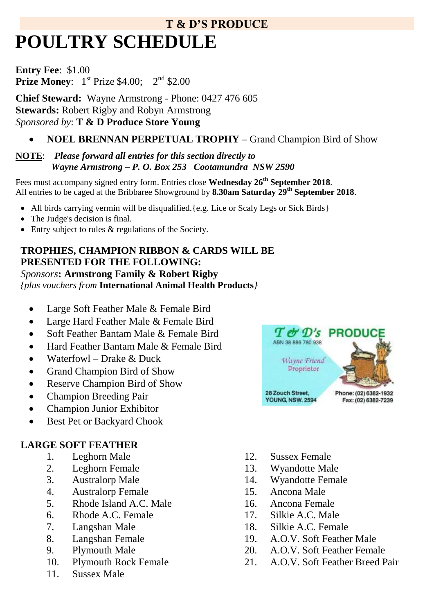# **T & D'S PRODUCE POULTRY SCHEDULE**

**Entry Fee**: \$1.00 **Prize Money:**  $1^{st}$  Prize \$4.00;  $2^{nd}$  \$2.00

**Chief Steward:** Wayne Armstrong - Phone: 0427 476 605 **Stewards:** Robert Rigby and Robyn Armstrong *Sponsored by*: **T & D Produce Store Young** 

# **NOEL BRENNAN PERPETUAL TROPHY –** Grand Champion Bird of Show

#### **NOTE**: *Please forward all entries for this section directly to Wayne Armstrong – P. O. Box 253 Cootamundra NSW 2590*

Fees must accompany signed entry form. Entries close **Wednesday 26 th September 2018**. All entries to be caged at the Bribbaree Showground by **8.30am Saturday 29th September 2018**.

- All birds carrying vermin will be disqualified. {e.g. Lice or Scaly Legs or Sick Birds}
- The Judge's decision is final.
- Entry subject to rules  $\&$  regulations of the Society.

#### **TROPHIES, CHAMPION RIBBON & CARDS WILL BE PRESENTED FOR THE FOLLOWING:** *Sponsors***: Armstrong Family & Robert Rigby** *{plus vouchers from* **International Animal Health Products***}*

- Large Soft Feather Male & Female Bird
- Large Hard Feather Male & Female Bird
- Soft Feather Bantam Male & Female Bird
- Hard Feather Bantam Male & Female Bird
- $\bullet$  Waterfowl Drake & Duck
- Grand Champion Bird of Show
- Reserve Champion Bird of Show
- Champion Breeding Pair
- Champion Junior Exhibitor
- Best Pet or Backyard Chook

### **LARGE SOFT FEATHER**

- 1. Leghorn Male
- 2. Leghorn Female
- 3. Australorp Male
- 4. Australorp Female
- 5. Rhode Island A.C. Male
- 6. Rhode A.C. Female
- 7. Langshan Male
- 8. Langshan Female
- 9. Plymouth Male
- 10. Plymouth Rock Female
- 11. Sussex Male
- $T \mathbf{C}^{\prime} \mathbf{D}^{\prime}$ s **PRODUC** ABN 38 886 780 938 Wayne Friend Proprietor 28 Zouch Street, Phone: (02) 6382-1932 **YOUNG NSW. 2594** Fax: (02) 6382-7239
- 12. Sussex Female
- 13. Wyandotte Male
- 14. Wyandotte Female
- 15. Ancona Male
- 16. Ancona Female
- 17. Silkie A.C. Male
- 18. Silkie A.C. Female
- 19. A.O.V. Soft Feather Male
- 20. A.O.V. Soft Feather Female
- 21. A.O.V. Soft Feather Breed Pair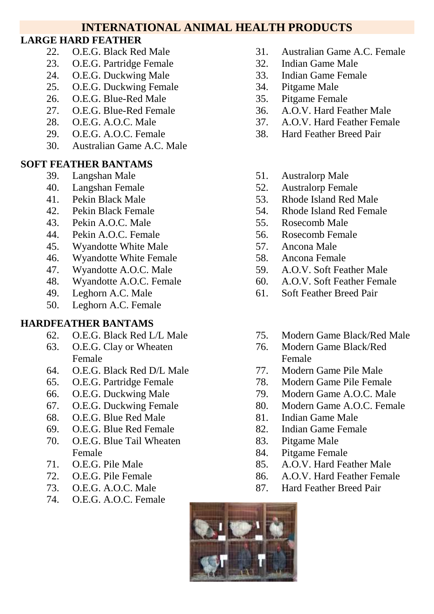# **INTERNATIONAL ANIMAL HEALTH PRODUCTS**

### **LARGE HARD FEATHER**

- 22. O.E.G. Black Red Male
- 23. O.E.G. Partridge Female
- 24. O.E.G. Duckwing Male
- 25. O.E.G. Duckwing Female
- 26. O.E.G. Blue-Red Male
- 27. O.E.G. Blue-Red Female
- 28. O.E.G. A.O.C. Male
- 29. O.E.G. A.O.C. Female
- 30. Australian Game A.C. Male

## **SOFT FEATHER BANTAMS**

- 39. Langshan Male
- 40. Langshan Female
- 41. Pekin Black Male
- 42. Pekin Black Female
- 43. Pekin A.O.C. Male
- 44. Pekin A.O.C. Female
- 45. Wyandotte White Male
- 46. Wyandotte White Female
- 47. Wyandotte A.O.C. Male
- 48. Wyandotte A.O.C. Female
- 49. Leghorn A.C. Male
- 50. Leghorn A.C. Female

### **HARDFEATHER BANTAMS**

- 62. O.E.G. Black Red L/L Male
- 63. O.E.G. Clay or Wheaten Female
- 64. O.E.G. Black Red D/L Male
- 65. O.E.G. Partridge Female
- 66. O.E.G. Duckwing Male
- 67. O.E.G. Duckwing Female
- 68. O.E.G. Blue Red Male
- 69. O.E.G. Blue Red Female
- 70. O.E.G. Blue Tail Wheaten Female
- 71. O.E.G. Pile Male
- 72. O.E.G. Pile Female
- 73. O.E.G. A.O.C. Male
- 74. O.E.G. A.O.C. Female
- 31. Australian Game A.C. Female
- 32. Indian Game Male
- 33. Indian Game Female
- 34. Pitgame Male
- 35. Pitgame Female
- 36. A.O.V. Hard Feather Male
- 37. A.O.V. Hard Feather Female
- 38. Hard Feather Breed Pair
- 51. Australorp Male
- 52. Australorp Female
- 53. Rhode Island Red Male
- 54. Rhode Island Red Female
- 55. Rosecomb Male
- 56. Rosecomb Female
- 57. Ancona Male
- 58. Ancona Female
- 59. A.O.V. Soft Feather Male
- 60. A.O.V. Soft Feather Female
- 61. Soft Feather Breed Pair
- 75. Modern Game Black/Red Male
- 76. Modern Game Black/Red Female
- 77. Modern Game Pile Male
- 78. Modern Game Pile Female
- 79. Modern Game A.O.C. Male
- 80. Modern Game A.O.C. Female
- 81. Indian Game Male
- 82. Indian Game Female
- 83. Pitgame Male
- 84. Pitgame Female
- 85. A.O.V. Hard Feather Male
- 86. A.O.V. Hard Feather Female
- 87. Hard Feather Breed Pair